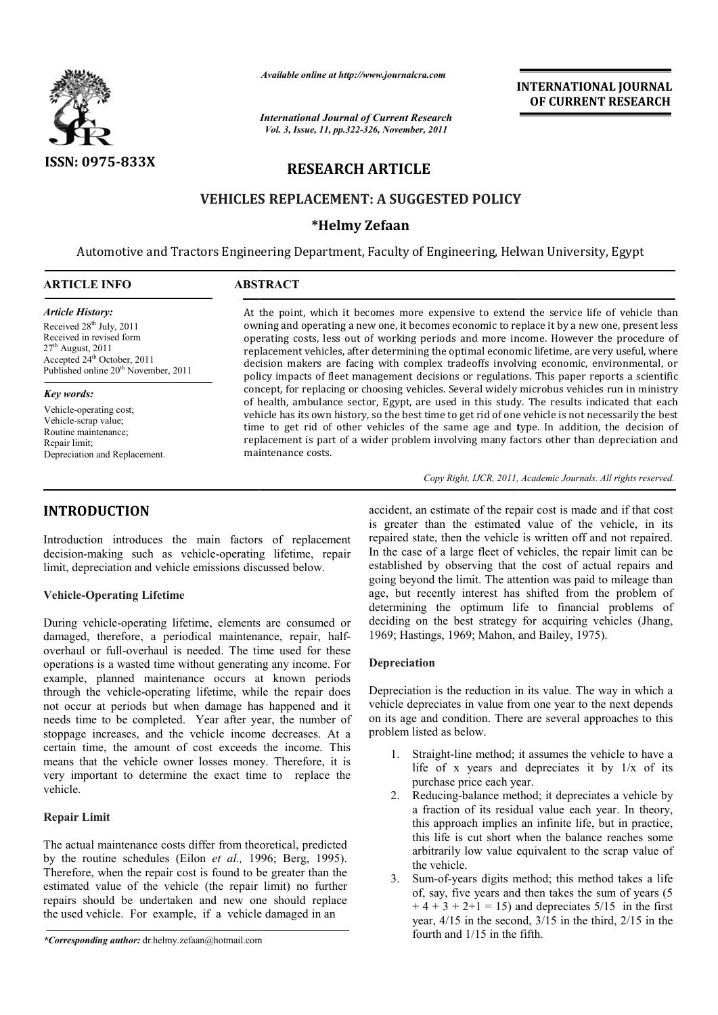

*Available online at http://www.journalcra.com*

# **RESEARCH ARTICLE**

# **VEHICLES REPLACEMENT: A SUGGESTED POLICY A**

# **\*Helmy Zefaan**

|                                                                                                                                                                                                                                                                                                                                                                                                                                                                                                                                                                                                                                                                                                                                                                                                                                                                                                                                                                                                                                                                                                                                                                                                                                                                                                                                                                                                                                                          |                                                                                                                                                                                                                                                                                                                                                                                                                                                                                                                                                                                                                                                                                                                                                                                                                                                                                                                                                                                                                                                                                                      | <b>INTERNATIONAL JOURNAL</b><br>OF CURRENT RESEARCH                                                                                                                                                                                                                                                                                                                                                                                                                                                                                                                                                                                                                                                                                                                                                                                                                                                                                                                                                                                                                                                                                                                                                                                                                                                                                                                                                                                                                                                                                                         |  |  |  |  |
|----------------------------------------------------------------------------------------------------------------------------------------------------------------------------------------------------------------------------------------------------------------------------------------------------------------------------------------------------------------------------------------------------------------------------------------------------------------------------------------------------------------------------------------------------------------------------------------------------------------------------------------------------------------------------------------------------------------------------------------------------------------------------------------------------------------------------------------------------------------------------------------------------------------------------------------------------------------------------------------------------------------------------------------------------------------------------------------------------------------------------------------------------------------------------------------------------------------------------------------------------------------------------------------------------------------------------------------------------------------------------------------------------------------------------------------------------------|------------------------------------------------------------------------------------------------------------------------------------------------------------------------------------------------------------------------------------------------------------------------------------------------------------------------------------------------------------------------------------------------------------------------------------------------------------------------------------------------------------------------------------------------------------------------------------------------------------------------------------------------------------------------------------------------------------------------------------------------------------------------------------------------------------------------------------------------------------------------------------------------------------------------------------------------------------------------------------------------------------------------------------------------------------------------------------------------------|-------------------------------------------------------------------------------------------------------------------------------------------------------------------------------------------------------------------------------------------------------------------------------------------------------------------------------------------------------------------------------------------------------------------------------------------------------------------------------------------------------------------------------------------------------------------------------------------------------------------------------------------------------------------------------------------------------------------------------------------------------------------------------------------------------------------------------------------------------------------------------------------------------------------------------------------------------------------------------------------------------------------------------------------------------------------------------------------------------------------------------------------------------------------------------------------------------------------------------------------------------------------------------------------------------------------------------------------------------------------------------------------------------------------------------------------------------------------------------------------------------------------------------------------------------------|--|--|--|--|
|                                                                                                                                                                                                                                                                                                                                                                                                                                                                                                                                                                                                                                                                                                                                                                                                                                                                                                                                                                                                                                                                                                                                                                                                                                                                                                                                                                                                                                                          | <b>International Journal of Current Research</b><br>Vol. 3, Issue, 11, pp.322-326, November, 2011                                                                                                                                                                                                                                                                                                                                                                                                                                                                                                                                                                                                                                                                                                                                                                                                                                                                                                                                                                                                    |                                                                                                                                                                                                                                                                                                                                                                                                                                                                                                                                                                                                                                                                                                                                                                                                                                                                                                                                                                                                                                                                                                                                                                                                                                                                                                                                                                                                                                                                                                                                                             |  |  |  |  |
| ISSN: 0975-833X                                                                                                                                                                                                                                                                                                                                                                                                                                                                                                                                                                                                                                                                                                                                                                                                                                                                                                                                                                                                                                                                                                                                                                                                                                                                                                                                                                                                                                          | <b>RESEARCH ARTICLE</b>                                                                                                                                                                                                                                                                                                                                                                                                                                                                                                                                                                                                                                                                                                                                                                                                                                                                                                                                                                                                                                                                              |                                                                                                                                                                                                                                                                                                                                                                                                                                                                                                                                                                                                                                                                                                                                                                                                                                                                                                                                                                                                                                                                                                                                                                                                                                                                                                                                                                                                                                                                                                                                                             |  |  |  |  |
|                                                                                                                                                                                                                                                                                                                                                                                                                                                                                                                                                                                                                                                                                                                                                                                                                                                                                                                                                                                                                                                                                                                                                                                                                                                                                                                                                                                                                                                          |                                                                                                                                                                                                                                                                                                                                                                                                                                                                                                                                                                                                                                                                                                                                                                                                                                                                                                                                                                                                                                                                                                      | <b>VEHICLES REPLACEMENT: A SUGGESTED POLICY</b>                                                                                                                                                                                                                                                                                                                                                                                                                                                                                                                                                                                                                                                                                                                                                                                                                                                                                                                                                                                                                                                                                                                                                                                                                                                                                                                                                                                                                                                                                                             |  |  |  |  |
|                                                                                                                                                                                                                                                                                                                                                                                                                                                                                                                                                                                                                                                                                                                                                                                                                                                                                                                                                                                                                                                                                                                                                                                                                                                                                                                                                                                                                                                          |                                                                                                                                                                                                                                                                                                                                                                                                                                                                                                                                                                                                                                                                                                                                                                                                                                                                                                                                                                                                                                                                                                      | *Helmy Zefaan                                                                                                                                                                                                                                                                                                                                                                                                                                                                                                                                                                                                                                                                                                                                                                                                                                                                                                                                                                                                                                                                                                                                                                                                                                                                                                                                                                                                                                                                                                                                               |  |  |  |  |
|                                                                                                                                                                                                                                                                                                                                                                                                                                                                                                                                                                                                                                                                                                                                                                                                                                                                                                                                                                                                                                                                                                                                                                                                                                                                                                                                                                                                                                                          |                                                                                                                                                                                                                                                                                                                                                                                                                                                                                                                                                                                                                                                                                                                                                                                                                                                                                                                                                                                                                                                                                                      | Automotive and Tractors Engineering Department, Faculty of Engineering, Helwan University, Egypt                                                                                                                                                                                                                                                                                                                                                                                                                                                                                                                                                                                                                                                                                                                                                                                                                                                                                                                                                                                                                                                                                                                                                                                                                                                                                                                                                                                                                                                            |  |  |  |  |
| <b>ARTICLE INFO</b>                                                                                                                                                                                                                                                                                                                                                                                                                                                                                                                                                                                                                                                                                                                                                                                                                                                                                                                                                                                                                                                                                                                                                                                                                                                                                                                                                                                                                                      | <b>ABSTRACT</b>                                                                                                                                                                                                                                                                                                                                                                                                                                                                                                                                                                                                                                                                                                                                                                                                                                                                                                                                                                                                                                                                                      |                                                                                                                                                                                                                                                                                                                                                                                                                                                                                                                                                                                                                                                                                                                                                                                                                                                                                                                                                                                                                                                                                                                                                                                                                                                                                                                                                                                                                                                                                                                                                             |  |  |  |  |
| <b>Article History:</b><br>Received 28 <sup>th</sup> July, 2011<br>Received in revised form<br>$27th$ August, 2011<br>Accepted 24 <sup>th</sup> October, 2011<br>Published online 20 <sup>th</sup> November, 2011<br><b>Key words:</b><br>Vehicle-operating cost;<br>Vehicle-scrap value;<br>Routine maintenance;<br>Repair limit;<br>Depreciation and Replacement.                                                                                                                                                                                                                                                                                                                                                                                                                                                                                                                                                                                                                                                                                                                                                                                                                                                                                                                                                                                                                                                                                      | At the point, which it becomes more expensive to extend the service life of vehicle than<br>owning and operating a new one, it becomes economic to replace it by a new one, present less<br>operating costs, less out of working periods and more income. However the procedure of<br>replacement vehicles, after determining the optimal economic lifetime, are very useful, where<br>decision makers are facing with complex tradeoffs involving economic, environmental, or<br>policy impacts of fleet management decisions or regulations. This paper reports a scientific<br>concept, for replacing or choosing vehicles. Several widely microbus vehicles run in ministry<br>of health, ambulance sector, Egypt, are used in this study. The results indicated that each<br>vehicle has its own history, so the best time to get rid of one vehicle is not necessarily the best<br>time to get rid of other vehicles of the same age and type. In addition, the decision of<br>replacement is part of a wider problem involving many factors other than depreciation and<br>maintenance costs. |                                                                                                                                                                                                                                                                                                                                                                                                                                                                                                                                                                                                                                                                                                                                                                                                                                                                                                                                                                                                                                                                                                                                                                                                                                                                                                                                                                                                                                                                                                                                                             |  |  |  |  |
|                                                                                                                                                                                                                                                                                                                                                                                                                                                                                                                                                                                                                                                                                                                                                                                                                                                                                                                                                                                                                                                                                                                                                                                                                                                                                                                                                                                                                                                          |                                                                                                                                                                                                                                                                                                                                                                                                                                                                                                                                                                                                                                                                                                                                                                                                                                                                                                                                                                                                                                                                                                      | Copy Right, IJCR, 2011, Academic Journals. All rights reserved.                                                                                                                                                                                                                                                                                                                                                                                                                                                                                                                                                                                                                                                                                                                                                                                                                                                                                                                                                                                                                                                                                                                                                                                                                                                                                                                                                                                                                                                                                             |  |  |  |  |
| <b>INTRODUCTION</b><br>Introduction introduces the main factors of replacement<br>decision-making such as vehicle-operating lifetime, repair<br>limit, depreciation and vehicle emissions discussed below.<br><b>Vehicle-Operating Lifetime</b><br>During vehicle-operating lifetime, elements are consumed or<br>damaged, therefore, a periodical maintenance, repair, half-<br>overhaul or full-overhaul is needed. The time used for these<br>operations is a wasted time without generating any income. For<br>example, planned maintenance occurs at known periods<br>through the vehicle-operating lifetime, while the repair does<br>not occur at periods but when damage has happened and it<br>needs time to be completed. Year after year, the number of<br>stoppage increases, and the vehicle income decreases. At a<br>certain time, the amount of cost exceeds the income. This<br>means that the vehicle owner losses money. Therefore, it is<br>very important to determine the exact time to replace the<br>vehicle.<br><b>Repair Limit</b><br>The actual maintenance costs differ from theoretical, predicted<br>by the routine schedules (Eilon et al., 1996; Berg, 1995).<br>Therefore, when the repair cost is found to be greater than the<br>estimated value of the vehicle (the repair limit) no further<br>repairs should be undertaken and new one should replace<br>the used vehicle. For example, if a vehicle damaged in an |                                                                                                                                                                                                                                                                                                                                                                                                                                                                                                                                                                                                                                                                                                                                                                                                                                                                                                                                                                                                                                                                                                      | accident, an estimate of the repair cost is made and if that cost<br>is greater than the estimated value of the vehicle, in its<br>repaired state, then the vehicle is written off and not repaired.<br>In the case of a large fleet of vehicles, the repair limit can be<br>established by observing that the cost of actual repairs and<br>going beyond the limit. The attention was paid to mileage than<br>age, but recently interest has shifted from the problem of<br>determining the optimum life to financial problems of<br>deciding on the best strategy for acquiring vehicles (Jhang,<br>1969; Hastings, 1969; Mahon, and Bailey, 1975).<br>Depreciation<br>Depreciation is the reduction in its value. The way in which a<br>vehicle depreciates in value from one year to the next depends<br>on its age and condition. There are several approaches to this<br>problem listed as below.<br>Straight-line method; it assumes the vehicle to have a<br>1.<br>life of x years and depreciates it by $1/x$ of its<br>purchase price each year.<br>2. Reducing-balance method; it depreciates a vehicle by<br>a fraction of its residual value each year. In theory,<br>this approach implies an infinite life, but in practice,<br>this life is cut short when the balance reaches some<br>arbitrarily low value equivalent to the scrap value of<br>the vehicle.<br>Sum-of-years digits method; this method takes a life<br>3.<br>of, say, five years and then takes the sum of years (5)<br>$+4+3+2+1=15$ ) and depreciates 5/15 in the first |  |  |  |  |
| *Corresponding outhor: dr helmy zafaan@hotmail.com                                                                                                                                                                                                                                                                                                                                                                                                                                                                                                                                                                                                                                                                                                                                                                                                                                                                                                                                                                                                                                                                                                                                                                                                                                                                                                                                                                                                       |                                                                                                                                                                                                                                                                                                                                                                                                                                                                                                                                                                                                                                                                                                                                                                                                                                                                                                                                                                                                                                                                                                      | year, $4/15$ in the second, $3/15$ in the third, $2/15$ in the<br>fourth and 1/15 in the fifth.                                                                                                                                                                                                                                                                                                                                                                                                                                                                                                                                                                                                                                                                                                                                                                                                                                                                                                                                                                                                                                                                                                                                                                                                                                                                                                                                                                                                                                                             |  |  |  |  |

## **Vehicle-Operating Lifetime**

### **Repair Limit**

### **Depreciation**

- Straight-line method; it assumes the vehicle to have a life of x years and depreciates it by  $1/x$  of its purchase price each year.
- 2. Reducing-balance method; it depreciates a vehicle by a fraction of its residual value each year. In theory, life of x years and depreciates it by  $1/x$  of its purchase price each year.<br>Reducing-balance method; it depreciates a vehicle by a fraction of its residual value each year. In theory, this approach implies an infinite lif this life is cut short when the balance reaches some arbitrarily low value equivalent to the scrap value of the vehicle.
- 3. Sum-of-years digits method; this method takes a life of, say, five years and then takes the sum of years (5  $+ 4 + 3 + 2 + 1 = 15$  and depreciates 5/15 in the first year, 4/15 in the second, 3/15 in the third, 2/15 in the fourth and 1/15 in the fifth.

*<sup>\*</sup>Corresponding author:* dr.helmy.zefaan@hotmail.com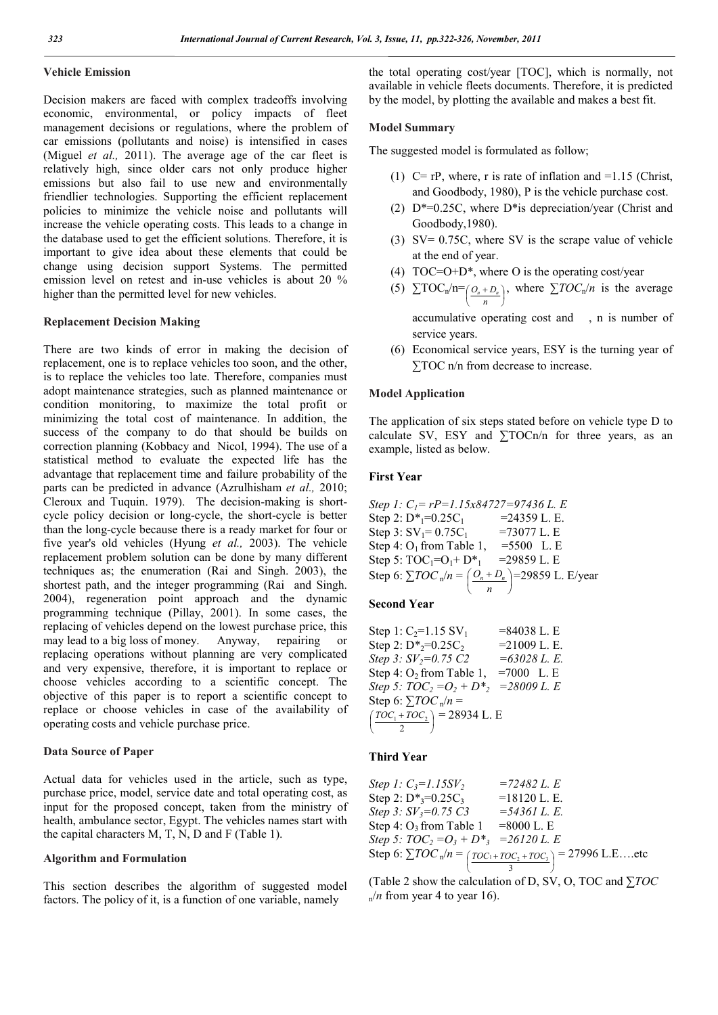### **Vehicle Emission**

Decision makers are faced with complex tradeoffs involving economic, environmental, or policy impacts of fleet management decisions or regulations, where the problem of car emissions (pollutants and noise) is intensified in cases (Miguel *et al.,* 2011). The average age of the car fleet is relatively high, since older cars not only produce higher emissions but also fail to use new and environmentally friendlier technologies. Supporting the efficient replacement policies to minimize the vehicle noise and pollutants will increase the vehicle operating costs. This leads to a change in the database used to get the efficient solutions. Therefore, it is important to give idea about these elements that could be change using decision support Systems. The permitted emission level on retest and in-use vehicles is about 20 % higher than the permitted level for new vehicles.

#### **Replacement Decision Making**

There are two kinds of error in making the decision of replacement, one is to replace vehicles too soon, and the other, is to replace the vehicles too late. Therefore, companies must adopt maintenance strategies, such as planned maintenance or condition monitoring, to maximize the total profit or minimizing the total cost of maintenance. In addition, the success of the company to do that should be builds on correction planning (Kobbacy and Nicol, 1994). The use of a statistical method to evaluate the expected life has the advantage that replacement time and failure probability of the parts can be predicted in advance (Azrulhisham *et al.,* 2010; Cleroux and Tuquin. 1979). The decision-making is shortcycle policy decision or long-cycle, the short-cycle is better than the long-cycle because there is a ready market for four or five year's old vehicles (Hyung *et al.,* 2003). The vehicle replacement problem solution can be done by many different techniques as; the enumeration (Rai and Singh. 2003), the shortest path, and the integer programming (Rai and Singh. 2004), regeneration point approach and the dynamic programming technique (Pillay, 2001). In some cases, the replacing of vehicles depend on the lowest purchase price, this may lead to a big loss of money. Anyway, repairing or replacing operations without planning are very complicated and very expensive, therefore, it is important to replace or choose vehicles according to a scientific concept. The objective of this paper is to report a scientific concept to replace or choose vehicles in case of the availability of operating costs and vehicle purchase price.

### **Data Source of Paper**

Actual data for vehicles used in the article, such as type, purchase price, model, service date and total operating cost, as input for the proposed concept, taken from the ministry of health, ambulance sector, Egypt. The vehicles names start with the capital characters M, T, N, D and F (Table 1).

#### **Algorithm and Formulation**

This section describes the algorithm of suggested model factors. The policy of it, is a function of one variable, namely

the total operating cost/year [TOC], which is normally, not available in vehicle fleets documents. Therefore, it is predicted by the model, by plotting the available and makes a best fit.

#### **Model Summary**

The suggested model is formulated as follow;

- (1)  $C = rP$ , where, r is rate of inflation and  $= 1.15$  (Christ, and Goodbody, 1980), P is the vehicle purchase cost.
- (2) D\*=0.25C, where D\*is depreciation/year (Christ and Goodbody,1980).
- (3) SV= 0.75C, where SV is the scrape value of vehicle at the end of year.
- (4)  $TOC = O + D^*$ , where O is the operating cost/year
- (5)  $\sum \text{TOC}_n/n = \left(\frac{O_n + D_n}{n}\right)$  $(O_n +$ *n*  $O_n + D_n$ , where  $\Sigma TOC_n/n$  is the average accumulative operating cost and , n is number of
- (6) Economical service years, ESY is the turning year of ∑TOC n/n from decrease to increase.

### **Model Application**

service years.

The application of six steps stated before on vehicle type D to calculate SV, ESY and  $\Sigma$ TOCn/n for three years, as an example, listed as below.

### **First Year**

Step 1: 
$$
C_1 = rP = 1.15x84727 = 97436
$$
 L. E  
\nStep 2:  $D^* = 0.25C_1$  = 24359 L. E.  
\nStep 3:  $SV_1 = 0.75C_1$  = 73077 L. E  
\nStep 4:  $O_1$  from Table 1, =5500 L. E  
\nStep 5:  $TOC_1 = O_1 + D^* = 29859$  L. E  
\nStep 6:  $\sum TOC_n/n = \left(\frac{O_n + D_n}{n}\right) = 29859$  L. E/year

## **Second Year**

| Step 1: $C_2=1.15$ SV <sub>1</sub>                                                 | $= 84038$ L. E  |  |
|------------------------------------------------------------------------------------|-----------------|--|
| Step 2: $D^*_{2} = 0.25C_2$                                                        | $= 21009$ L. E. |  |
| Step 3: $SV_2=0.75$ C2                                                             | $=63028$ L. E.  |  |
| Step 4: $O_2$ from Table 1,                                                        | $=7000$ L.E     |  |
| Step 5: $TOC_2 = O_2 + D*_2 = 28009$ L. E                                          |                 |  |
| Step 6: $\sum TOC_n/n =$                                                           |                 |  |
| $\left(\frac{TOC_1 + TOC_2}{OT}\right) = 28934$ L. E<br>$\overline{\phantom{a}}^2$ |                 |  |

### **Third Year**

Step 1: 
$$
C_3=1.15SV_2
$$
 =72482 L. E  
\nStep 2:  $D^*_{3}=0.25C_3$  =18120 L. E.  
\nStep 3:  $SV_3=0.75 C3$  =54361 L. E.  
\nStep 4: O<sub>3</sub> from Table 1 =8000 L. E  
\nStep 5:  $TOC_2=O_3 + D^*_{3}$  =26120 L. E  
\nStep 6:  $\sum TOC_n/n = \left(\frac{TOC_1+TOC_2+TOC_3}{3}\right)$  = 27996 L. E...etc

(Table 2 show the calculation of D, SV, O, TOC and ∑*TOC*  $n/n$  from year 4 to year 16).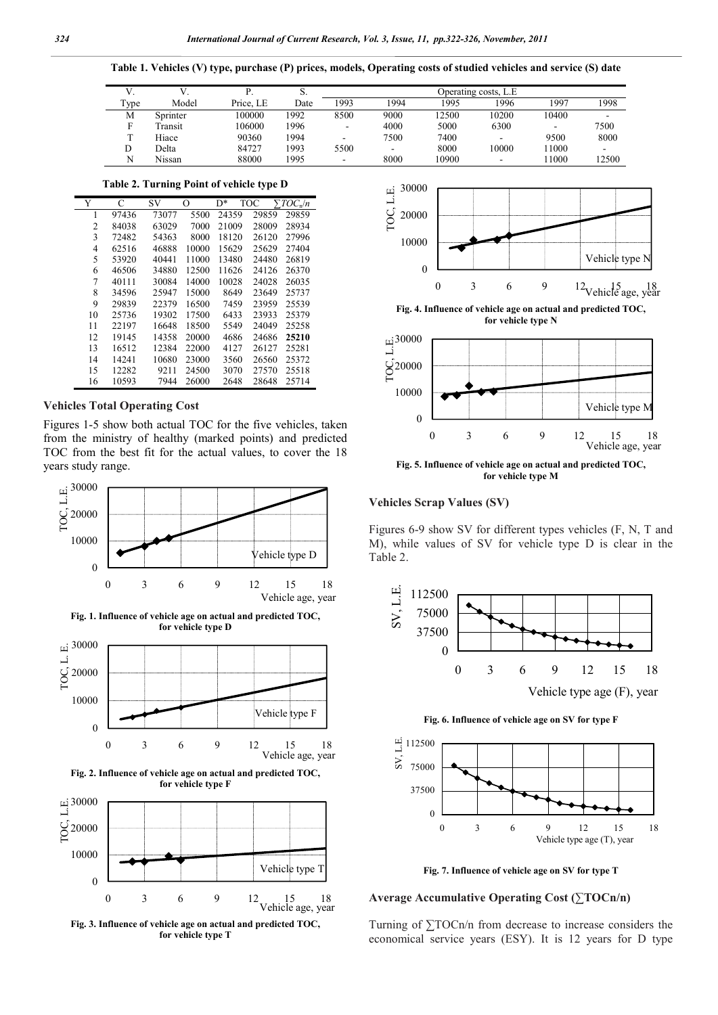**Table 1. Vehicles (V) type, purchase (P) prices, models, Operating costs of studied vehicles and service (S) date**

|      |          |           | D.   | Operating costs, L.E |      |       |       |       |                          |
|------|----------|-----------|------|----------------------|------|-------|-------|-------|--------------------------|
| Type | Model    | Price. LE | Date | 1993                 | 1994 | 995   | 1996  | 1997  | 1998                     |
| М    | Sprinter | 100000    | 1992 | 8500                 | 9000 | 12500 | 10200 | 10400 | $\overline{\phantom{0}}$ |
|      | ransit   | 106000    | 1996 | . .                  | 4000 | 5000  | 6300  |       | 7500                     |
|      | Hiace    | 90360     | 1994 | ۰                    | 7500 | 7400  |       | 9500  | 8000                     |
|      | Delta    | 84727     | 1993 | 5500                 | -    | 8000  | 10000 | 11000 |                          |
|      | Nissan   | 88000     | 1995 | ۰                    | 8000 | 10900 |       | 1000  | 12500                    |

**Table 2. Turning Point of vehicle type D**

| Y              | C     | SV    | O     | D*    | TOC   | $TOC_n/n$ |
|----------------|-------|-------|-------|-------|-------|-----------|
| 1              | 97436 | 73077 | 5500  | 24359 | 29859 | 29859     |
| $\overline{c}$ | 84038 | 63029 | 7000  | 21009 | 28009 | 28934     |
| 3              | 72482 | 54363 | 8000  | 18120 | 26120 | 27996     |
| 4              | 62516 | 46888 | 10000 | 15629 | 25629 | 27404     |
| 5              | 53920 | 40441 | 11000 | 13480 | 24480 | 26819     |
| 6              | 46506 | 34880 | 12500 | 11626 | 24126 | 26370     |
| 7              | 40111 | 30084 | 14000 | 10028 | 24028 | 26035     |
| 8              | 34596 | 25947 | 15000 | 8649  | 23649 | 25737     |
| 9              | 29839 | 22379 | 16500 | 7459  | 23959 | 25539     |
| 10             | 25736 | 19302 | 17500 | 6433  | 23933 | 25379     |
| 11             | 22197 | 16648 | 18500 | 5549  | 24049 | 25258     |
| 12             | 19145 | 14358 | 20000 | 4686  | 24686 | 25210     |
| 13             | 16512 | 12384 | 22000 | 4127  | 26127 | 25281     |
| 14             | 14241 | 10680 | 23000 | 3560  | 26560 | 25372     |
| 15             | 12282 | 9211  | 24500 | 3070  | 27570 | 25518     |
| 16             | 10593 | 7944  | 26000 | 2648  | 28648 | 25714     |

## **Vehicles Total Operating Cost**

Figures 1-5 show both actual TOC for the five vehicles, taken from the ministry of healthy (marked points) and predicted TOC from the best fit for the actual values, to cover the 18 years study range.







**Fig. 3. Influence of vehicle age on actual and predicted TOC, for vehicle type T**



**Fig. 4. Influence of vehicle age on actual and predicted TOC, for vehicle type N**



**Fig. 5. Influence of vehicle age on actual and predicted TOC, for vehicle type M**

#### **Vehicles Scrap Values (SV)**

Figures 6-9 show SV for different types vehicles (F, N, T and M), while values of SV for vehicle type D is clear in the Table 2.



Vehicle type age (F), year

**Fig. 6. Influence of vehicle age on SV for type F**



**Fig. 7. Influence of vehicle age on SV for type T**

## **Average Accumulative Operating Cost (∑TOCn/n)**

Turning of ∑TOCn/n from decrease to increase considers the economical service years (ESY). It is 12 years for D type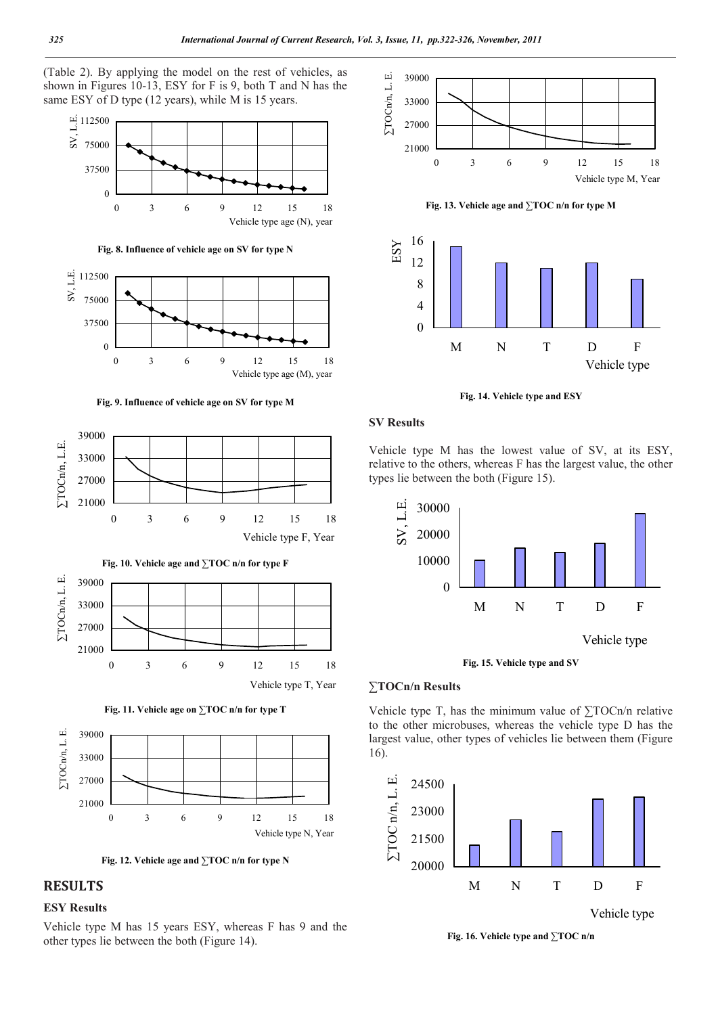(Table 2). By applying the model on the rest of vehicles, as shown in Figures 10-13, ESY for F is 9, both T and N has the same ESY of D type (12 years), while M is 15 years.





**Fig. 9. Influence of vehicle age on SV for type M**





**Fig. 11. Vehicle age on ∑TOC n/n for type T**



**Fig. 12. Vehicle age and ∑TOC n/n for type N**

# **RESULTS**

# **ESY Results**

Vehicle type M has 15 years ESY, whereas F has 9 and the other types lie between the both (Figure 14).



**Fig. 13. Vehicle age and ∑TOC n/n for type M**



**Fig. 14. Vehicle type and ESY**

### **SV Results**

Vehicle type M has the lowest value of SV, at its ESY, relative to the others, whereas F has the largest value, the other types lie between the both (Figure 15).



**Fig. 15. Vehicle type and SV**

#### **∑TOCn/n Results**

Vehicle type T, has the minimum value of ∑TOCn/n relative to the other microbuses, whereas the vehicle type D has the largest value, other types of vehicles lie between them (Figure 16).



Vehicle type

**Fig. 16. Vehicle type and ∑TOC n/n**